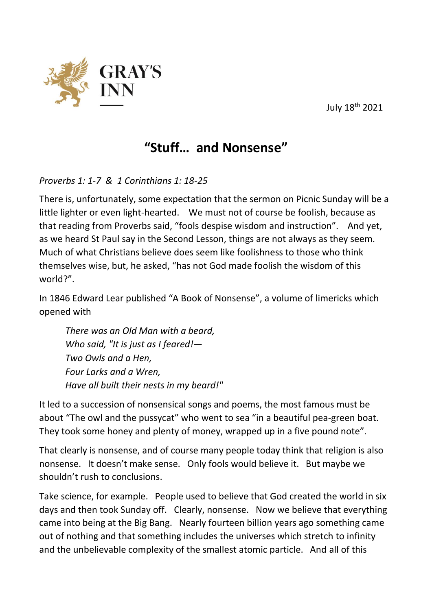July 18th 2021



## **"Stuff… and Nonsense"**

*Proverbs 1: 1-7 & 1 Corinthians 1: 18-25*

There is, unfortunately, some expectation that the sermon on Picnic Sunday will be a little lighter or even light-hearted. We must not of course be foolish, because as that reading from Proverbs said, "fools despise wisdom and instruction". And yet, as we heard St Paul say in the Second Lesson, things are not always as they seem. Much of what Christians believe does seem like foolishness to those who think themselves wise, but, he asked, "has not God made foolish the wisdom of this world?".

In 1846 Edward Lear published "A Book of Nonsense", a volume of limericks which opened with

*There was an Old Man with a beard, Who said, "It is just as I feared!— Two Owls and a Hen, Four Larks and a Wren, Have all built their nests in my beard!"*

It led to a succession of nonsensical songs and poems, the most famous must be about "The owl and the pussycat" who went to sea "in a beautiful pea-green boat. They took some honey and plenty of money, wrapped up in a five pound note".

That clearly is nonsense, and of course many people today think that religion is also nonsense. It doesn't make sense. Only fools would believe it. But maybe we shouldn't rush to conclusions.

Take science, for example. People used to believe that God created the world in six days and then took Sunday off. Clearly, nonsense. Now we believe that everything came into being at the Big Bang. Nearly fourteen billion years ago something came out of nothing and that something includes the universes which stretch to infinity and the unbelievable complexity of the smallest atomic particle. And all of this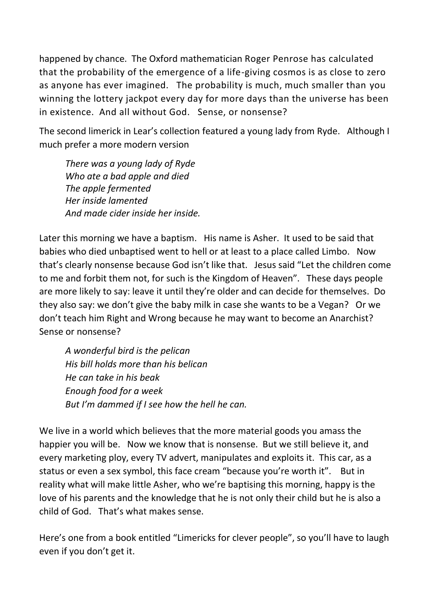happened by chance. The Oxford mathematician Roger Penrose has calculated that the probability of the emergence of a life-giving cosmos is as close to zero as anyone has ever imagined. The probability is much, much smaller than you winning the lottery jackpot every day for more days than the universe has been in existence. And all without God. Sense, or nonsense?

The second limerick in Lear's collection featured a young lady from Ryde. Although I much prefer a more modern version

*There was a young lady of Ryde Who ate a bad apple and died The apple fermented Her inside lamented And made cider inside her inside.*

Later this morning we have a baptism. His name is Asher. It used to be said that babies who died unbaptised went to hell or at least to a place called Limbo. Now that's clearly nonsense because God isn't like that. Jesus said "Let the children come to me and forbit them not, for such is the Kingdom of Heaven". These days people are more likely to say: leave it until they're older and can decide for themselves. Do they also say: we don't give the baby milk in case she wants to be a Vegan? Or we don't teach him Right and Wrong because he may want to become an Anarchist? Sense or nonsense?

*A wonderful bird is the pelican His bill holds more than his belican He can take in his beak Enough food for a week But I'm dammed if I see how the hell he can.*

We live in a world which believes that the more material goods you amass the happier you will be. Now we know that is nonsense. But we still believe it, and every marketing ploy, every TV advert, manipulates and exploits it. This car, as a status or even a sex symbol, this face cream "because you're worth it". But in reality what will make little Asher, who we're baptising this morning, happy is the love of his parents and the knowledge that he is not only their child but he is also a child of God. That's what makes sense.

Here's one from a book entitled "Limericks for clever people", so you'll have to laugh even if you don't get it.